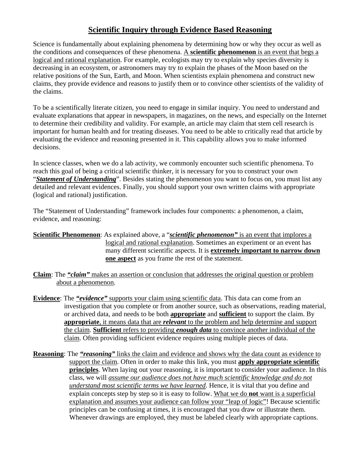## **Scientific Inquiry through Evidence Based Reasoning**

Science is fundamentally about explaining phenomena by determining how or why they occur as well as the conditions and consequences of these phenomena. A **scientific phenomenon** is an event that begs a logical and rational explanation. For example, ecologists may try to explain why species diversity is decreasing in an ecosystem, or astronomers may try to explain the phases of the Moon based on the relative positions of the Sun, Earth, and Moon. When scientists explain phenomena and construct new claims, they provide evidence and reasons to justify them or to convince other scientists of the validity of the claims.

To be a scientifically literate citizen, you need to engage in similar inquiry. You need to understand and evaluate explanations that appear in newspapers, in magazines, on the news, and especially on the Internet to determine their credibility and validity. For example, an article may claim that stem cell research is important for human health and for treating diseases. You need to be able to critically read that article by evaluating the evidence and reasoning presented in it. This capability allows you to make informed decisions.

In science classes, when we do a lab activity, we commonly encounter such scientific phenomena. To reach this goal of being a critical scientific thinker, it is necessary for you to construct your own "*Statement of Understanding*". Besides stating the phenomenon you want to focus on, you must list any detailed and relevant evidences. Finally, you should support your own written claims with appropriate (logical and rational) justification.

The "Statement of Understanding" framework includes four components: a phenomenon, a claim, evidence, and reasoning:

- **Scientific Phenomenon**: As explained above, a "*scientific phenomenon"* is an event that implores a logical and rational explanation. Sometimes an experiment or an event has many different scientific aspects. It is **extremely important to narrow down one aspect** as you frame the rest of the statement.
- **Claim**: The *"claim"* makes an assertion or conclusion that addresses the original question or problem about a phenomenon.
- **Evidence**: The *"evidence"* supports your claim using scientific data. This data can come from an investigation that you complete or from another source, such as observations, reading material, or archived data, and needs to be both **appropriate** and **sufficient** to support the claim. By **appropriate**, it means data that are *relevant* to the problem and help determine and support the claim. **Sufficient** refers to providing *enough data* to convince another individual of the claim. Often providing sufficient evidence requires using multiple pieces of data.
- **Reasoning**: The *"reasoning"* links the claim and evidence and shows why the data count as evidence to support the claim. Often in order to make this link, you must **apply appropriate scientific principles**. When laying out your reasoning, it is important to consider your audience. In this class, we will *assume our audience does not have much scientific knowledge and do not understand most scientific terms we have learned*. Hence, it is vital that you define and explain concepts step by step so it is easy to follow. What we do **not** want is a superficial explanation and assumes your audience can follow your "leap of logic"! Because scientific principles can be confusing at times, it is encouraged that you draw or illustrate them. Whenever drawings are employed, they must be labeled clearly with appropriate captions.